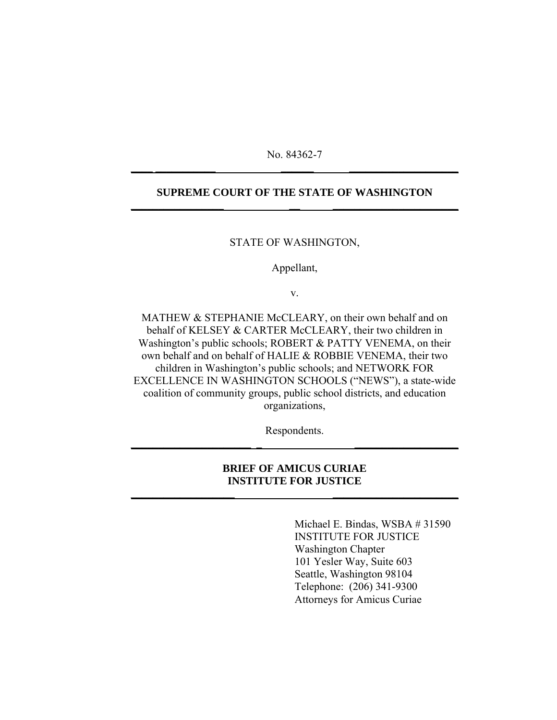No. 84362-7 **\_\_\_\_ \_\_\_\_\_\_\_\_\_\_\_ \_\_\_\_\_\_ \_\_\_\_\_\_\_\_\_\_\_\_\_\_\_\_\_\_\_\_**

### **SUPREME COURT OF THE STATE OF WASHINGTON \_\_\_\_\_\_\_\_\_\_\_\_\_\_\_\_\_ \_\_ \_\_\_\_\_\_\_\_\_\_\_\_\_\_\_\_\_\_\_\_\_\_\_**

STATE OF WASHINGTON,

Appellant,

v.

MATHEW & STEPHANIE McCLEARY, on their own behalf and on behalf of KELSEY & CARTER McCLEARY, their two children in Washington's public schools; ROBERT & PATTY VENEMA, on their own behalf and on behalf of HALIE & ROBBIE VENEMA, their two children in Washington's public schools; and NETWORK FOR EXCELLENCE IN WASHINGTON SCHOOLS ("NEWS"), a state-wide coalition of community groups, public school districts, and education organizations,

Respondents. **\_\_\_\_\_\_\_\_\_\_\_\_\_\_\_\_\_\_\_\_\_\_ \_ \_\_\_\_\_\_\_\_\_\_\_\_\_\_\_\_\_\_\_**

## **BRIEF OF AMICUS CURIAE INSTITUTE FOR JUSTICE**

**\_\_\_\_\_\_\_\_\_\_\_\_\_\_\_\_\_\_\_ \_\_\_\_\_\_\_\_\_\_\_\_\_\_\_\_\_\_\_\_\_\_\_**

Michael E. Bindas, WSBA # 31590 INSTITUTE FOR JUSTICE Washington Chapter 101 Yesler Way, Suite 603 Seattle, Washington 98104 Telephone: (206) 341-9300 Attorneys for Amicus Curiae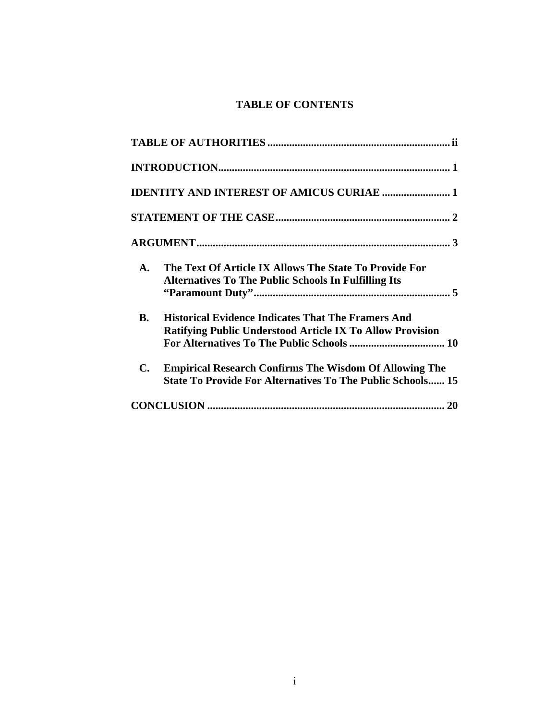# **TABLE OF CONTENTS**

| <b>IDENTITY AND INTEREST OF AMICUS CURIAE  1</b>                                                                                                     |
|------------------------------------------------------------------------------------------------------------------------------------------------------|
|                                                                                                                                                      |
|                                                                                                                                                      |
| The Text Of Article IX Allows The State To Provide For<br>$\mathbf{A}$ .<br><b>Alternatives To The Public Schools In Fulfilling Its</b>              |
| <b>Historical Evidence Indicates That The Framers And</b><br><b>B.</b><br><b>Ratifying Public Understood Article IX To Allow Provision</b>           |
| $\mathbf{C}$ .<br><b>Empirical Research Confirms The Wisdom Of Allowing The</b><br><b>State To Provide For Alternatives To The Public Schools 15</b> |
|                                                                                                                                                      |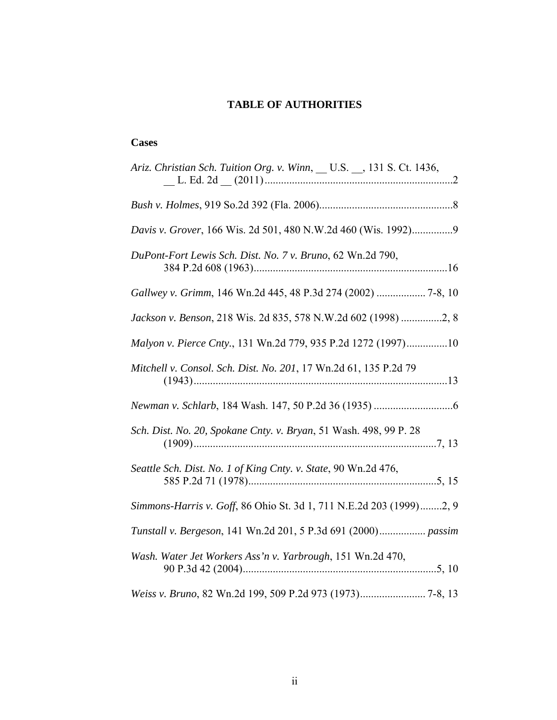# **TABLE OF AUTHORITIES**

## <span id="page-2-0"></span>**Cases**

| Ariz. Christian Sch. Tuition Org. v. Winn, __ U.S. __, 131 S. Ct. 1436, |
|-------------------------------------------------------------------------|
|                                                                         |
| Davis v. Grover, 166 Wis. 2d 501, 480 N.W.2d 460 (Wis. 1992)9           |
| DuPont-Fort Lewis Sch. Dist. No. 7 v. Bruno, 62 Wn.2d 790,              |
| Gallwey v. Grimm, 146 Wn.2d 445, 48 P.3d 274 (2002)  7-8, 10            |
| Jackson v. Benson, 218 Wis. 2d 835, 578 N.W.2d 602 (1998) 2, 8          |
| Malyon v. Pierce Cnty., 131 Wn.2d 779, 935 P.2d 1272 (1997)10           |
| Mitchell v. Consol. Sch. Dist. No. 201, 17 Wn.2d 61, 135 P.2d 79        |
|                                                                         |
| Sch. Dist. No. 20, Spokane Cnty. v. Bryan, 51 Wash. 498, 99 P. 28       |
| Seattle Sch. Dist. No. 1 of King Cnty. v. State, 90 Wn.2d 476,          |
| Simmons-Harris v. Goff, 86 Ohio St. 3d 1, 711 N.E.2d 203 (1999)2, 9     |
| Tunstall v. Bergeson, 141 Wn.2d 201, 5 P.3d 691 (2000) passim           |
| Wash. Water Jet Workers Ass'n v. Yarbrough, 151 Wn.2d 470,              |
|                                                                         |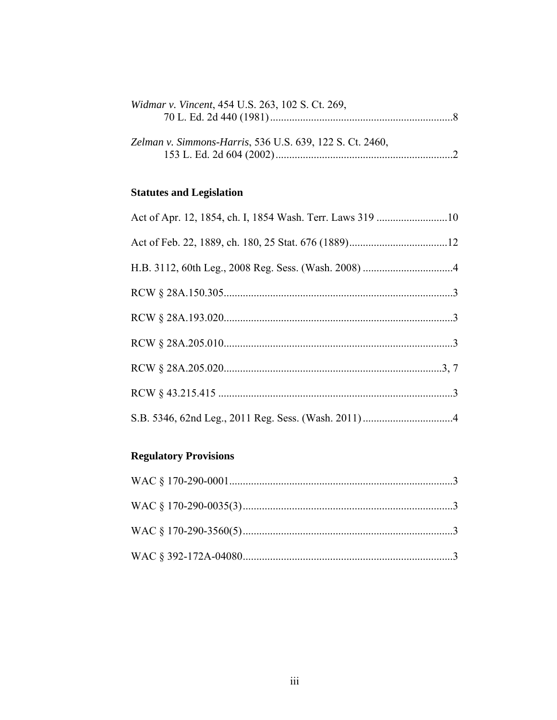| Widmar v. Vincent, 454 U.S. 263, 102 S. Ct. 269,         |  |
|----------------------------------------------------------|--|
|                                                          |  |
|                                                          |  |
| Zelman v. Simmons-Harris, 536 U.S. 639, 122 S. Ct. 2460, |  |
|                                                          |  |
|                                                          |  |

# **Statutes and Legislation**

| Act of Apr. 12, 1854, ch. I, 1854 Wash. Terr. Laws 319 10 |  |
|-----------------------------------------------------------|--|
|                                                           |  |
|                                                           |  |
|                                                           |  |
|                                                           |  |
|                                                           |  |
|                                                           |  |
|                                                           |  |
|                                                           |  |

# **Regulatory Provisions**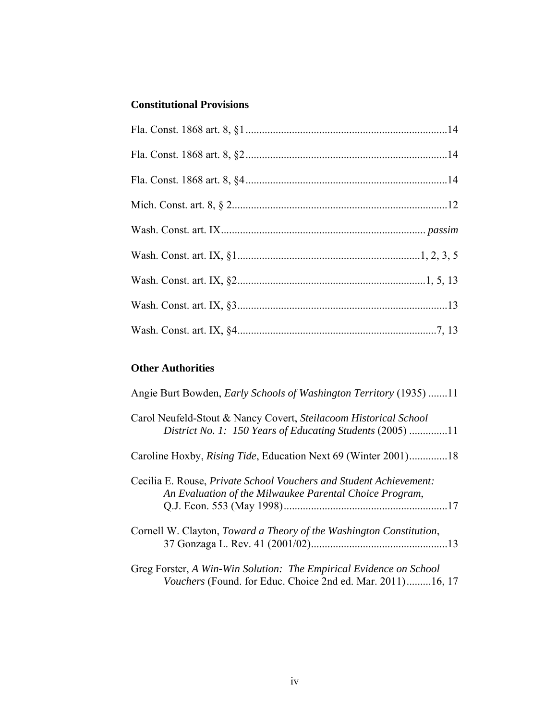# **Constitutional Provisions**

# **Other Authorities**

| Angie Burt Bowden, <i>Early Schools of Washington Territory</i> (1935) 11                                                        |
|----------------------------------------------------------------------------------------------------------------------------------|
| Carol Neufeld-Stout & Nancy Covert, Steilacoom Historical School<br>District No. 1: 150 Years of Educating Students (2005) 11    |
| Caroline Hoxby, <i>Rising Tide</i> , Education Next 69 (Winter 2001)18                                                           |
| Cecilia E. Rouse, Private School Vouchers and Student Achievement:<br>An Evaluation of the Milwaukee Parental Choice Program,    |
| Cornell W. Clayton, <i>Toward a Theory of the Washington Constitution</i> ,                                                      |
| Greg Forster, A Win-Win Solution: The Empirical Evidence on School<br>Vouchers (Found. for Educ. Choice 2nd ed. Mar. 2011)16, 17 |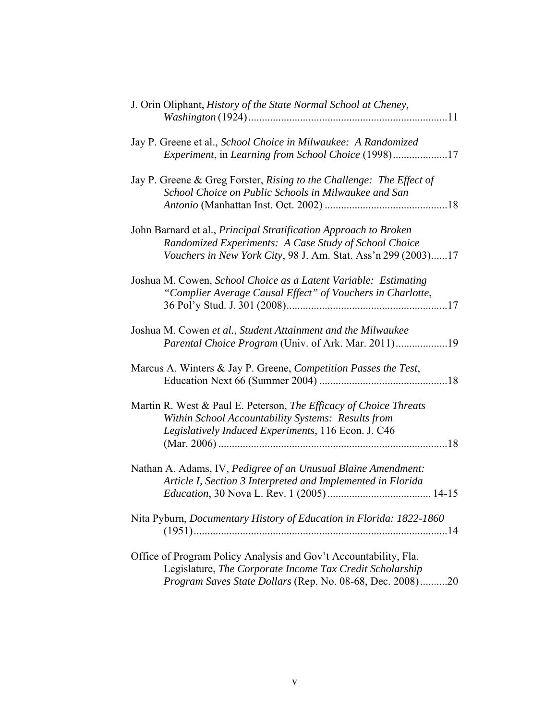| J. Orin Oliphant, History of the State Normal School at Cheney,                                                                                                                              |
|----------------------------------------------------------------------------------------------------------------------------------------------------------------------------------------------|
| Jay P. Greene et al., School Choice in Milwaukee: A Randomized<br><i>Experiment, in Learning from School Choice</i> (1998)17                                                                 |
| Jay P. Greene & Greg Forster, Rising to the Challenge: The Effect of<br>School Choice on Public Schools in Milwaukee and San                                                                 |
| John Barnard et al., Principal Stratification Approach to Broken<br>Randomized Experiments: A Case Study of School Choice<br>Vouchers in New York City, 98 J. Am. Stat. Ass'n 299 (2003)17   |
| Joshua M. Cowen, School Choice as a Latent Variable: Estimating<br>"Complier Average Causal Effect" of Vouchers in Charlotte,                                                                |
| Joshua M. Cowen et al., Student Attainment and the Milwaukee<br>Parental Choice Program (Univ. of Ark. Mar. 2011)19                                                                          |
| Marcus A. Winters & Jay P. Greene, Competition Passes the Test,                                                                                                                              |
| Martin R. West & Paul E. Peterson, The Efficacy of Choice Threats<br>Within School Accountability Systems: Results from<br>Legislatively Induced Experiments, 116 Econ. J. C46<br>$\dots$ 18 |
| Nathan A. Adams, IV, Pedigree of an Unusual Blaine Amendment:<br>Article I, Section 3 Interpreted and Implemented in Florida                                                                 |
| Nita Pyburn, Documentary History of Education in Florida: 1822-1860                                                                                                                          |
| Office of Program Policy Analysis and Gov't Accountability, Fla.<br>Legislature, The Corporate Income Tax Credit Scholarship<br>Program Saves State Dollars (Rep. No. 08-68, Dec. 2008)20    |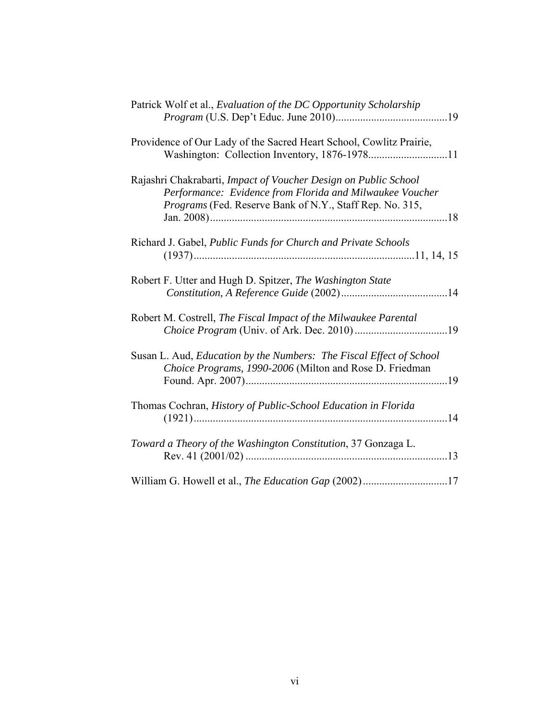| Patrick Wolf et al., Evaluation of the DC Opportunity Scholarship                                                                                                                       |
|-----------------------------------------------------------------------------------------------------------------------------------------------------------------------------------------|
| Providence of Our Lady of the Sacred Heart School, Cowlitz Prairie,                                                                                                                     |
| Rajashri Chakrabarti, Impact of Voucher Design on Public School<br>Performance: Evidence from Florida and Milwaukee Voucher<br>Programs (Fed. Reserve Bank of N.Y., Staff Rep. No. 315, |
| Richard J. Gabel, Public Funds for Church and Private Schools                                                                                                                           |
| Robert F. Utter and Hugh D. Spitzer, The Washington State                                                                                                                               |
| Robert M. Costrell, The Fiscal Impact of the Milwaukee Parental                                                                                                                         |
| Susan L. Aud, Education by the Numbers: The Fiscal Effect of School<br>Choice Programs, 1990-2006 (Milton and Rose D. Friedman                                                          |
| Thomas Cochran, History of Public-School Education in Florida                                                                                                                           |
| Toward a Theory of the Washington Constitution, 37 Gonzaga L.                                                                                                                           |
|                                                                                                                                                                                         |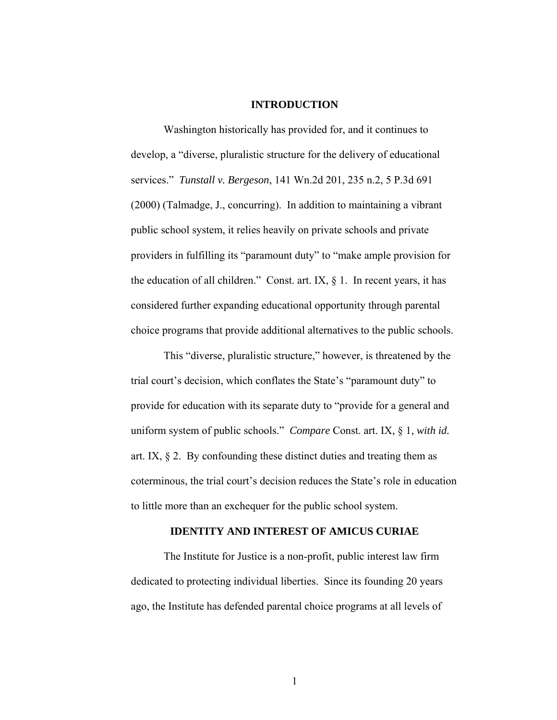#### **INTRODUCTION**

<span id="page-7-0"></span>Washington historically has provided for, and it continues to develop, a "diverse, pluralistic structure for the delivery of educational services." *Tunstall v. Bergeson*, 141 Wn.2d 201, 235 n.2, 5 P.3d 691 (2000) (Talmadge, J., concurring). In addition to maintaining a vibrant public school system, it relies heavily on private schools and private providers in fulfilling its "paramount duty" to "make ample provision for the education of all children." Const. art. IX,  $\S$  1. In recent years, it has considered further expanding educational opportunity through parental choice programs that provide additional alternatives to the public schools.

This "diverse, pluralistic structure," however, is threatened by the trial court's decision, which conflates the State's "paramount duty" to provide for education with its separate duty to "provide for a general and uniform system of public schools." *Compare* Const. art. IX, § 1, *with id.* art. IX,  $\S$  2. By confounding these distinct duties and treating them as coterminous, the trial court's decision reduces the State's role in education to little more than an exchequer for the public school system.

#### **IDENTITY AND INTEREST OF AMICUS CURIAE**

The Institute for Justice is a non-profit, public interest law firm dedicated to protecting individual liberties. Since its founding 20 years ago, the Institute has defended parental choice programs at all levels of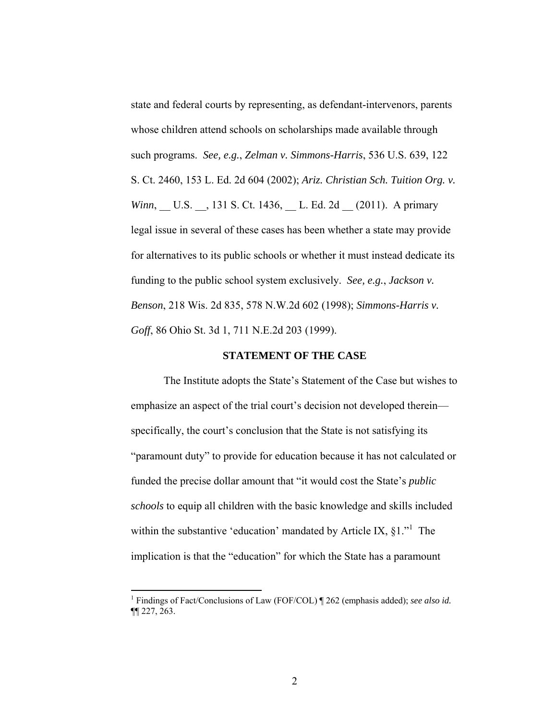<span id="page-8-0"></span>state and federal courts by representing, as defendant-intervenors, parents whose children attend schools on scholarships made available through such programs. *See, e.g.*, *Zelman v. Simmons-Harris*, 536 U.S. 639, 122 S. Ct. 2460, 153 L. Ed. 2d 604 (2002); *Ariz. Christian Sch. Tuition Org. v. Winn*, \_\_ U.S. \_\_, 131 S. Ct. 1436, \_\_ L. Ed. 2d \_\_ (2011). A primary legal issue in several of these cases has been whether a state may provide for alternatives to its public schools or whether it must instead dedicate its funding to the public school system exclusively. *See, e.g.*, *Jackson v. Benson*, 218 Wis. 2d 835, 578 N.W.2d 602 (1998); *Simmons-Harris v. Goff*, 86 Ohio St. 3d 1, 711 N.E.2d 203 (1999).

#### **STATEMENT OF THE CASE**

The Institute adopts the State's Statement of the Case but wishes to emphasize an aspect of the trial court's decision not developed therein specifically, the court's conclusion that the State is not satisfying its "paramount duty" to provide for education because it has not calculated or funded the precise dollar amount that "it would cost the State's *public schools* to equip all children with the basic knowledge and skills included withinthe substantive 'education' mandated by Article IX,  $\S1$ ." The implication is that the "education" for which the State has a paramount

 $\overline{a}$ 

<span id="page-8-1"></span><sup>&</sup>lt;sup>1</sup> Findings of Fact/Conclusions of Law (FOF/COL) | 262 (emphasis added); see also id. ¶¶ 227, 263.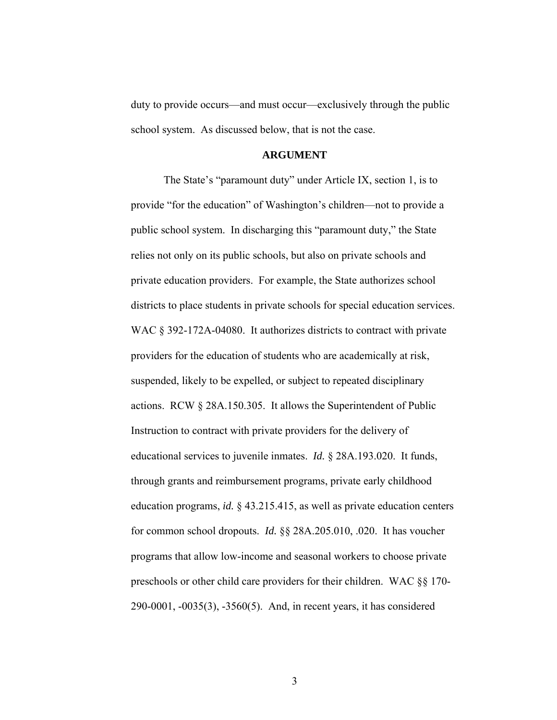<span id="page-9-0"></span>duty to provide occurs—and must occur—exclusively through the public school system. As discussed below, that is not the case.

#### **ARGUMENT**

The State's "paramount duty" under Article IX, section 1, is to provide "for the education" of Washington's children—not to provide a public school system. In discharging this "paramount duty," the State relies not only on its public schools, but also on private schools and private education providers. For example, the State authorizes school districts to place students in private schools for special education services. WAC § 392-172A-04080. It authorizes districts to contract with private providers for the education of students who are academically at risk, suspended, likely to be expelled, or subject to repeated disciplinary actions. RCW § 28A.150.305. It allows the Superintendent of Public Instruction to contract with private providers for the delivery of educational services to juvenile inmates. *Id.* § 28A.193.020. It funds, through grants and reimbursement programs, private early childhood education programs, *id.* § 43.215.415, as well as private education centers for common school dropouts. *Id.* §§ 28A.205.010, .020. It has voucher programs that allow low-income and seasonal workers to choose private preschools or other child care providers for their children. WAC §§ 170- 290-0001, -0035(3), -3560(5). And, in recent years, it has considered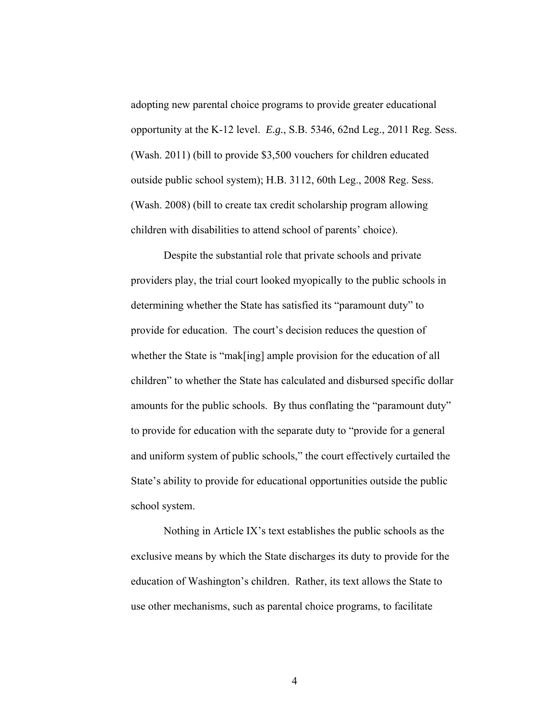adopting new parental choice programs to provide greater educational opportunity at the K-12 level. *E.g.*, S.B. 5346, 62nd Leg., 2011 Reg. Sess. (Wash. 2011) (bill to provide \$3,500 vouchers for children educated outside public school system); H.B. 3112, 60th Leg., 2008 Reg. Sess. (Wash. 2008) (bill to create tax credit scholarship program allowing children with disabilities to attend school of parents' choice).

Despite the substantial role that private schools and private providers play, the trial court looked myopically to the public schools in determining whether the State has satisfied its "paramount duty" to provide for education. The court's decision reduces the question of whether the State is "mak[ing] ample provision for the education of all children" to whether the State has calculated and disbursed specific dollar amounts for the public schools. By thus conflating the "paramount duty" to provide for education with the separate duty to "provide for a general and uniform system of public schools," the court effectively curtailed the State's ability to provide for educational opportunities outside the public school system.

Nothing in Article IX's text establishes the public schools as the exclusive means by which the State discharges its duty to provide for the education of Washington's children. Rather, its text allows the State to use other mechanisms, such as parental choice programs, to facilitate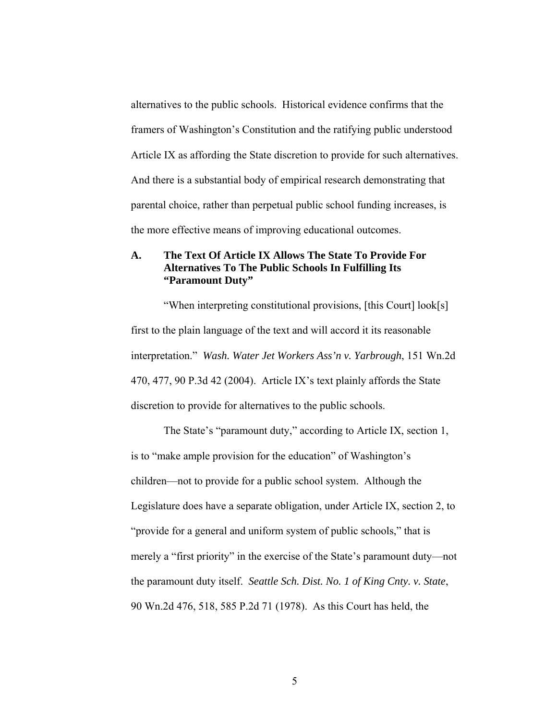<span id="page-11-0"></span>alternatives to the public schools. Historical evidence confirms that the framers of Washington's Constitution and the ratifying public understood Article IX as affording the State discretion to provide for such alternatives. And there is a substantial body of empirical research demonstrating that parental choice, rather than perpetual public school funding increases, is the more effective means of improving educational outcomes.

## **A. The Text Of Article IX Allows The State To Provide For Alternatives To The Public Schools In Fulfilling Its "Paramount Duty"**

"When interpreting constitutional provisions, [this Court] look[s] first to the plain language of the text and will accord it its reasonable interpretation." *Wash. Water Jet Workers Ass'n v. Yarbrough*, 151 Wn.2d 470, 477, 90 P.3d 42 (2004). Article IX's text plainly affords the State discretion to provide for alternatives to the public schools.

The State's "paramount duty," according to Article IX, section 1, is to "make ample provision for the education" of Washington's children—not to provide for a public school system. Although the Legislature does have a separate obligation, under Article IX, section 2, to "provide for a general and uniform system of public schools," that is merely a "first priority" in the exercise of the State's paramount duty—not the paramount duty itself. *Seattle Sch. Dist. No. 1 of King Cnty. v. State*, 90 Wn.2d 476, 518, 585 P.2d 71 (1978). As this Court has held, the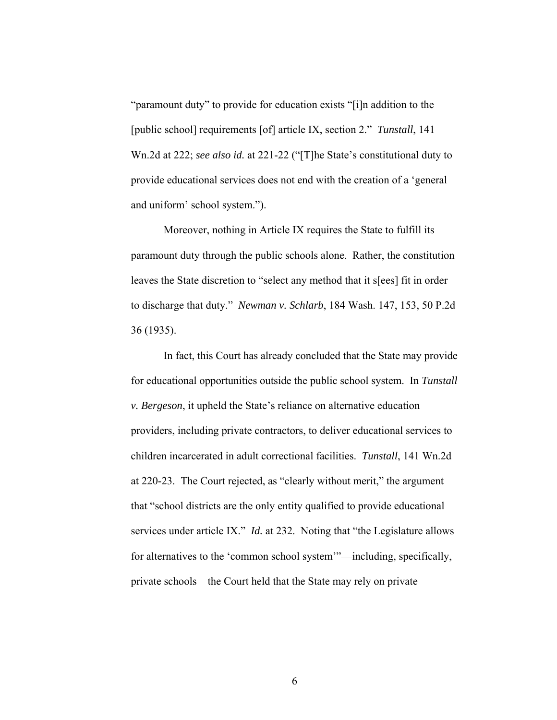"paramount duty" to provide for education exists "[i]n addition to the [public school] requirements [of] article IX, section 2." *Tunstall*, 141 Wn.2d at 222; *see also id.* at 221-22 ("[T]he State's constitutional duty to provide educational services does not end with the creation of a 'general and uniform' school system.").

Moreover, nothing in Article IX requires the State to fulfill its paramount duty through the public schools alone. Rather, the constitution leaves the State discretion to "select any method that it s[ees] fit in order to discharge that duty." *Newman v. Schlarb*, 184 Wash. 147, 153, 50 P.2d 36 (1935).

In fact, this Court has already concluded that the State may provide for educational opportunities outside the public school system. In *Tunstall v. Bergeson*, it upheld the State's reliance on alternative education providers, including private contractors, to deliver educational services to children incarcerated in adult correctional facilities. *Tunstall*, 141 Wn.2d at 220-23. The Court rejected, as "clearly without merit," the argument that "school districts are the only entity qualified to provide educational services under article IX." *Id.* at 232. Noting that "the Legislature allows for alternatives to the 'common school system'"—including, specifically, private schools—the Court held that the State may rely on private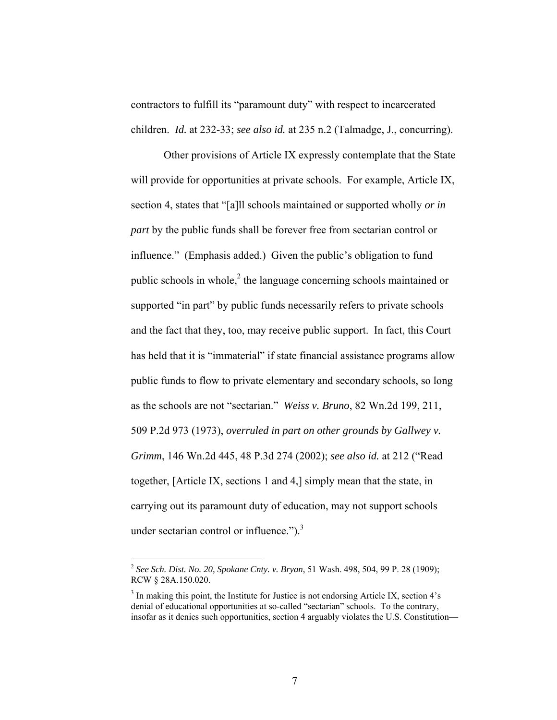contractors to fulfill its "paramount duty" with respect to incarcerated children. *Id.* at 232-33; *see also id.* at 235 n.2 (Talmadge, J., concurring).

Other provisions of Article IX expressly contemplate that the State will provide for opportunities at private schools. For example, Article IX, section 4, states that "[a]ll schools maintained or supported wholly *or in part* by the public funds shall be forever free from sectarian control or influence." (Emphasis added.) Given the public's obligation to fund public schools in whole, $2$  the language concerning schools maintained or supported "in part" by public funds necessarily refers to private schools and the fact that they, too, may receive public support. In fact, this Court has held that it is "immaterial" if state financial assistance programs allow public funds to flow to private elementary and secondary schools, so long as the schools are not "sectarian." *Weiss v. Bruno*, 82 Wn.2d 199, 211, 509 P.2d 973 (1973), *overruled in part on other grounds by Gallwey v. Grimm*, 146 Wn.2d 445, 48 P.3d 274 (2002); *see also id.* at 212 ("Read together, [Article IX, sections 1 and 4,] simply mean that the state, in carrying out its paramount duty of education, may not support schools under sectarian control or influence." $)$ .<sup>3</sup>

<span id="page-13-0"></span><sup>2</sup> *See Sch. Dist. No. 20, Spokane Cnty. v. Bryan*, 51 Wash. 498, 504, 99 P. 28 (1909); RCW § 28A.150.020.

<span id="page-13-1"></span><sup>&</sup>lt;sup>3</sup> In making this point, the Institute for Justice is not endorsing Article IX, section 4's denial of educational opportunities at so-called "sectarian" schools. To the contrary, insofar as it denies such opportunities, section 4 arguably violates the U.S. Constitution—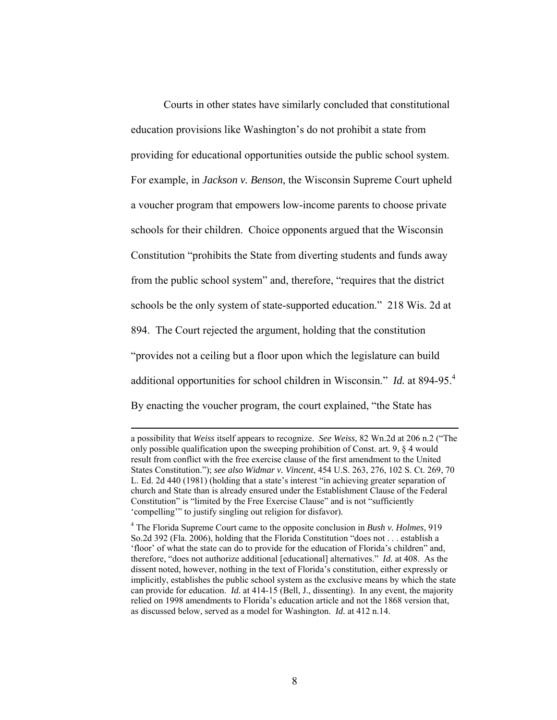Courts in other states have similarly concluded that constitutional education provisions like Washington's do not prohibit a state from providing for educational opportunities outside the public school system. For example, in *Jackson v. Benson*, the Wisconsin Supreme Court upheld a voucher program that empowers low-income parents to choose private schools for their children. Choice opponents argued that the Wisconsin Constitution "prohibits the State from diverting students and funds away from the public school system" and, therefore, "requires that the district schools be the only system of state-supported education." 218 Wis. 2d at 894. The Court rejected the argument, holding that the constitution "provides not a ceiling but a floor upon which the legislature can build additional opportunities for school children in Wisconsin." *Id.* at 894-95.[4](#page-14-0) By enacting the voucher program, the court explained, "the State has

a possibility that *Weiss* itself appears to recognize. *See Weiss*, 82 Wn.2d at 206 n.2 ("The only possible qualification upon the sweeping prohibition of Const. art. 9, § 4 would result from conflict with the free exercise clause of the first amendment to the United States Constitution."); *see also Widmar v. Vincent*, 454 U.S. 263, 276, 102 S. Ct. 269, 70 L. Ed. 2d 440 (1981) (holding that a state's interest "in achieving greater separation of church and State than is already ensured under the Establishment Clause of the Federal Constitution" is "limited by the Free Exercise Clause" and is not "sufficiently 'compelling'" to justify singling out religion for disfavor).

<span id="page-14-0"></span><sup>4</sup> The Florida Supreme Court came to the opposite conclusion in *Bush v. Holmes*, 919 So.2d 392 (Fla. 2006), holding that the Florida Constitution "does not . . . establish a 'floor' of what the state can do to provide for the education of Florida's children" and, therefore, "does not authorize additional [educational] alternatives." *Id.* at 408. As the dissent noted, however, nothing in the text of Florida's constitution, either expressly or implicitly, establishes the public school system as the exclusive means by which the state can provide for education. *Id.* at 414-15 (Bell, J., dissenting). In any event, the majority relied on 1998 amendments to Florida's education article and not the 1868 version that, as discussed below, served as a model for Washington. *Id.* at 412 n.14.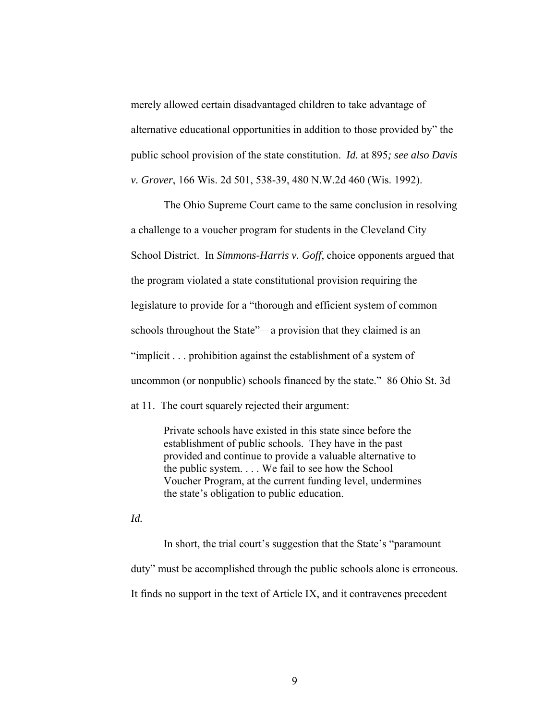merely allowed certain disadvantaged children to take advantage of alternative educational opportunities in addition to those provided by" the public school provision of the state constitution. *Id.* at 895*; see also Davis v. Grover*, 166 Wis. 2d 501, 538-39, 480 N.W.2d 460 (Wis. 1992).

The Ohio Supreme Court came to the same conclusion in resolving a challenge to a voucher program for students in the Cleveland City School District. In *Simmons-Harris v. Goff*, choice opponents argued that the program violated a state constitutional provision requiring the legislature to provide for a "thorough and efficient system of common schools throughout the State"—a provision that they claimed is an "implicit . . . prohibition against the establishment of a system of uncommon (or nonpublic) schools financed by the state." 86 Ohio St. 3d

at 11. The court squarely rejected their argument:

Private schools have existed in this state since before the establishment of public schools. They have in the past provided and continue to provide a valuable alternative to the public system. . . . We fail to see how the School Voucher Program, at the current funding level, undermines the state's obligation to public education.

*Id.*

In short, the trial court's suggestion that the State's "paramount duty" must be accomplished through the public schools alone is erroneous. It finds no support in the text of Article IX, and it contravenes precedent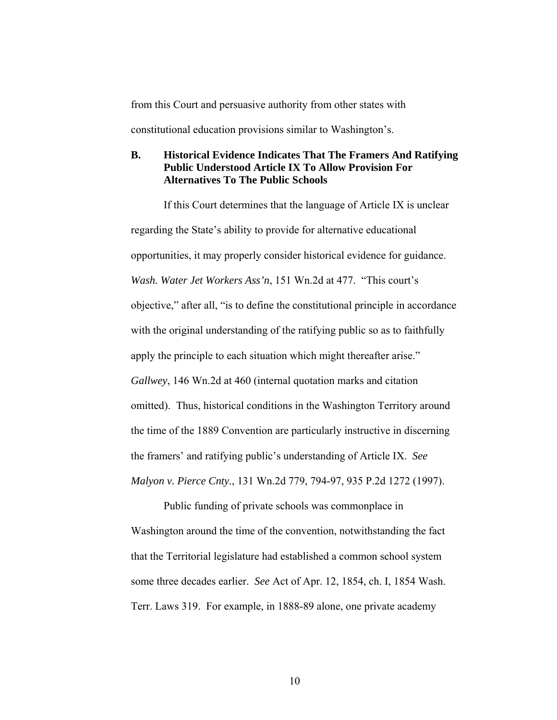<span id="page-16-0"></span>from this Court and persuasive authority from other states with constitutional education provisions similar to Washington's.

## **B. Historical Evidence Indicates That The Framers And Ratifying Public Understood Article IX To Allow Provision For Alternatives To The Public Schools**

If this Court determines that the language of Article IX is unclear regarding the State's ability to provide for alternative educational opportunities, it may properly consider historical evidence for guidance. *Wash. Water Jet Workers Ass'n*, 151 Wn.2d at 477. "This court's objective," after all, "is to define the constitutional principle in accordance with the original understanding of the ratifying public so as to faithfully apply the principle to each situation which might thereafter arise." *Gallwey*, 146 Wn.2d at 460 (internal quotation marks and citation omitted). Thus, historical conditions in the Washington Territory around the time of the 1889 Convention are particularly instructive in discerning the framers' and ratifying public's understanding of Article IX. *See Malyon v. Pierce Cnty.*, 131 Wn.2d 779, 794-97, 935 P.2d 1272 (1997).

Public funding of private schools was commonplace in Washington around the time of the convention, notwithstanding the fact that the Territorial legislature had established a common school system some three decades earlier. *See* Act of Apr. 12, 1854, ch. I, 1854 Wash. Terr. Laws 319. For example, in 1888-89 alone, one private academy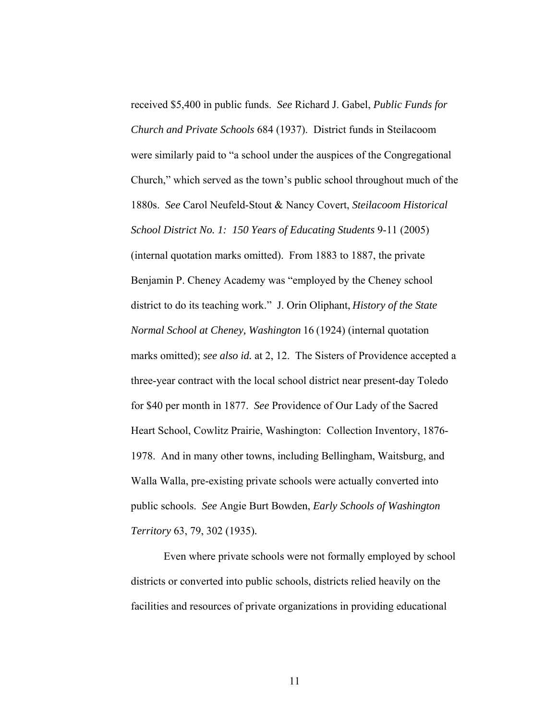received \$5,400 in public funds. *See* Richard J. Gabel, *Public Funds for Church and Private Schools* 684 (1937). District funds in Steilacoom were similarly paid to "a school under the auspices of the Congregational Church," which served as the town's public school throughout much of the 1880s. *See* Carol Neufeld-Stout & Nancy Covert, *Steilacoom Historical School District No. 1: 150 Years of Educating Students* 9-11 (2005) (internal quotation marks omitted). From 1883 to 1887, the private Benjamin P. Cheney Academy was "employed by the Cheney school district to do its teaching work." J. Orin Oliphant, *History of the State Normal School at Cheney, Washington* 16 (1924) (internal quotation marks omitted); *see also id.* at 2, 12. The Sisters of Providence accepted a three-year contract with the local school district near present-day Toledo for \$40 per month in 1877. *See* Providence of Our Lady of the Sacred Heart School, Cowlitz Prairie, Washington: Collection Inventory, 1876- 1978. And in many other towns, including Bellingham, Waitsburg, and Walla Walla, pre-existing private schools were actually converted into public schools. *See* Angie Burt Bowden, *Early Schools of Washington Territory* 63, 79, 302 (1935)*.*

Even where private schools were not formally employed by school districts or converted into public schools, districts relied heavily on the facilities and resources of private organizations in providing educational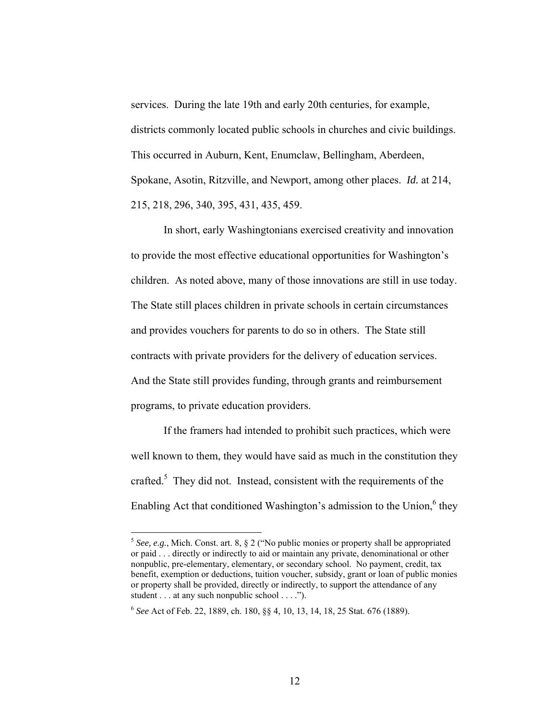services. During the late 19th and early 20th centuries, for example, districts commonly located public schools in churches and civic buildings. This occurred in Auburn, Kent, Enumclaw, Bellingham, Aberdeen, Spokane, Asotin, Ritzville, and Newport, among other places. *Id.* at 214, 215, 218, 296, 340, 395, 431, 435, 459.

In short, early Washingtonians exercised creativity and innovation to provide the most effective educational opportunities for Washington's children. As noted above, many of those innovations are still in use today. The State still places children in private schools in certain circumstances and provides vouchers for parents to do so in others. The State still contracts with private providers for the delivery of education services. And the State still provides funding, through grants and reimbursement programs, to private education providers.

If the framers had intended to prohibit such practices, which were well known to them, they would have said as much in the constitution they crafted.<sup>5</sup> They did not. Instead, consistent with the requirements of the Enabling Act that conditioned Washington's admission to the Union, $6$  they

<u>.</u>

<span id="page-18-0"></span> $5$  *See, e.g.*, Mich. Const. art. 8,  $\S$  2 ("No public monies or property shall be appropriated or paid . . . directly or indirectly to aid or maintain any private, denominational or other nonpublic, pre-elementary, elementary, or secondary school. No payment, credit, tax benefit, exemption or deductions, tuition voucher, subsidy, grant or loan of public monies or property shall be provided, directly or indirectly, to support the attendance of any student . . . at any such nonpublic school . . . .").

<span id="page-18-1"></span><sup>6</sup> *See* Act of Feb. 22, 1889, ch. 180, §§ 4, 10, 13, 14, 18, 25 Stat. 676 (1889).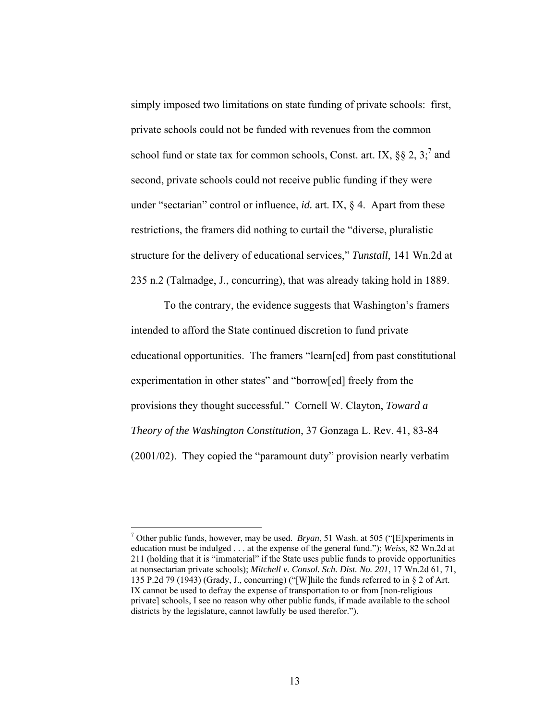simply imposed two limitations on state funding of private schools: first, private schools could not be funded with revenues from the common school fund or state tax for common schools, Const. [a](#page-19-0)rt. IX,  $\S$ § 2, 3;<sup>7</sup> and second, private schools could not receive public funding if they were under "sectarian" control or influence, *id.* art. IX, § 4. Apart from these restrictions, the framers did nothing to curtail the "diverse, pluralistic structure for the delivery of educational services," *Tunstall*, 141 Wn.2d at 235 n.2 (Talmadge, J., concurring), that was already taking hold in 1889.

To the contrary, the evidence suggests that Washington's framers intended to afford the State continued discretion to fund private educational opportunities. The framers "learn[ed] from past constitutional experimentation in other states" and "borrow[ed] freely from the provisions they thought successful." Cornell W. Clayton, *Toward a Theory of the Washington Constitution*, 37 Gonzaga L. Rev. 41, 83-84 (2001/02). They copied the "paramount duty" provision nearly verbatim

<span id="page-19-0"></span><sup>7</sup> Other public funds, however, may be used. *Bryan*, 51 Wash. at 505 ("[E]xperiments in education must be indulged . . . at the expense of the general fund."); *Weiss*, 82 Wn.2d at 211 (holding that it is "immaterial" if the State uses public funds to provide opportunities at nonsectarian private schools); *Mitchell v. Consol. Sch. Dist. No. 201*, 17 Wn.2d 61, 71, 135 P.2d 79 (1943) (Grady, J., concurring) ("[W]hile the funds referred to in § 2 of Art. IX cannot be used to defray the expense of transportation to or from [non-religious private] schools, I see no reason why other public funds, if made available to the school districts by the legislature, cannot lawfully be used therefor.").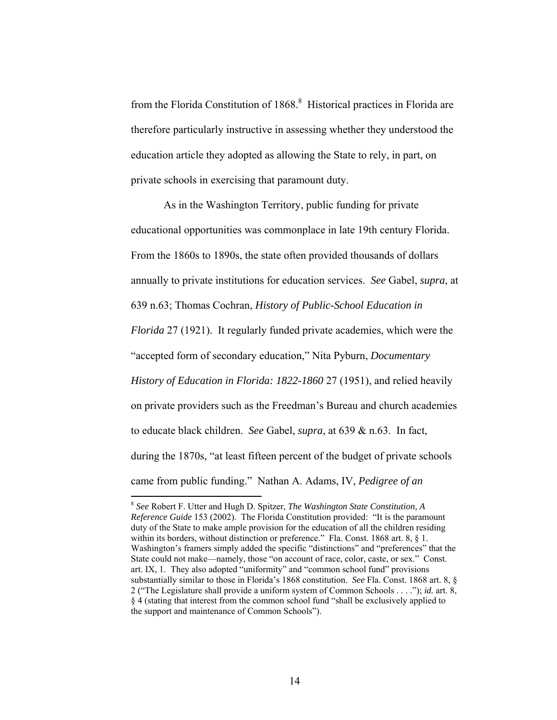from the Florida Constitution of 1868.<sup>8</sup> Historical practices in Florida are therefore particularly instructive in assessing whether they understood the education article they adopted as allowing the State to rely, in part, on private schools in exercising that paramount duty.

As in the Washington Territory, public funding for private educational opportunities was commonplace in late 19th century Florida. From the 1860s to 1890s, the state often provided thousands of dollars annually to private institutions for education services. *See* Gabel, *supra*, at 639 n.63; Thomas Cochran, *History of Public-School Education in Florida* 27 (1921). It regularly funded private academies, which were the "accepted form of secondary education," Nita Pyburn, *Documentary History of Education in Florida: 1822-1860* 27 (1951), and relied heavily on private providers such as the Freedman's Bureau and church academies to educate black children. *See* Gabel, *supra*, at 639 & n.63. In fact, during the 1870s, "at least fifteen percent of the budget of private schools came from public funding." Nathan A. Adams, IV, *Pedigree of an* 

<span id="page-20-0"></span><sup>8</sup> *See* Robert F. Utter and Hugh D. Spitzer, *The Washington State Constitution, A Reference Guide* 153 (2002). The Florida Constitution provided: "It is the paramount duty of the State to make ample provision for the education of all the children residing within its borders, without distinction or preference." Fla. Const. 1868 art. 8, § 1. Washington's framers simply added the specific "distinctions" and "preferences" that the State could not make—namely, those "on account of race, color, caste, or sex." Const. art. IX, 1. They also adopted "uniformity" and "common school fund" provisions substantially similar to those in Florida's 1868 constitution. *See* Fla. Const. 1868 art. 8, § 2 ("The Legislature shall provide a uniform system of Common Schools . . . ."); *id.* art. 8, § 4 (stating that interest from the common school fund "shall be exclusively applied to the support and maintenance of Common Schools").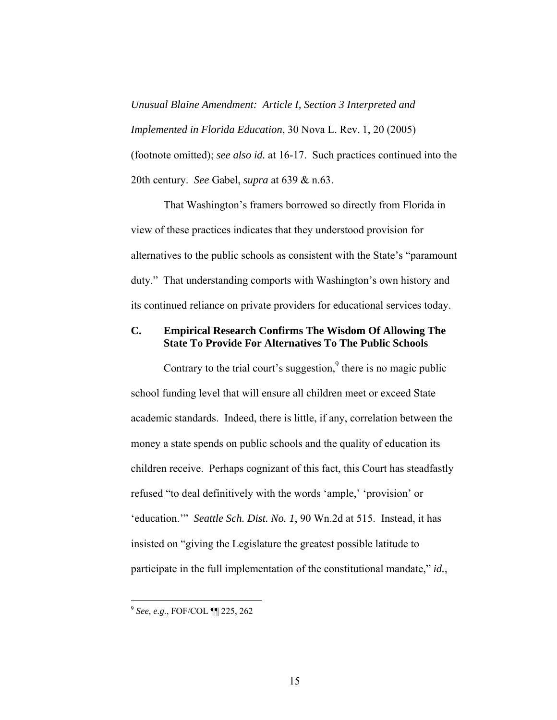<span id="page-21-0"></span>*Unusual Blaine Amendment: Article I, Section 3 Interpreted and Implemented in Florida Education*, 30 Nova L. Rev. 1, 20 (2005) (footnote omitted); *see also id.* at 16-17. Such practices continued into the 20th century. *See* Gabel, *supra* at 639 & n.63.

That Washington's framers borrowed so directly from Florida in view of these practices indicates that they understood provision for alternatives to the public schools as consistent with the State's "paramount duty." That understanding comports with Washington's own history and its continued reliance on private providers for educational services today.

## **C. Empirical Research Confirms The Wisdom Of Allowing The State To Provide For Alternatives To The Public Schools**

Contrary [t](#page-21-1)o the trial court's suggestion, $9$  there is no magic public school funding level that will ensure all children meet or exceed State academic standards. Indeed, there is little, if any, correlation between the money a state spends on public schools and the quality of education its children receive. Perhaps cognizant of this fact, this Court has steadfastly refused "to deal definitively with the words 'ample,' 'provision' or 'education.'" *Seattle Sch. Dist. No. 1*, 90 Wn.2d at 515. Instead, it has insisted on "giving the Legislature the greatest possible latitude to participate in the full implementation of the constitutional mandate," *id.*,

<u>.</u>

<span id="page-21-1"></span><sup>9</sup> *See, e.g.*, FOF/COL ¶¶ 225, 262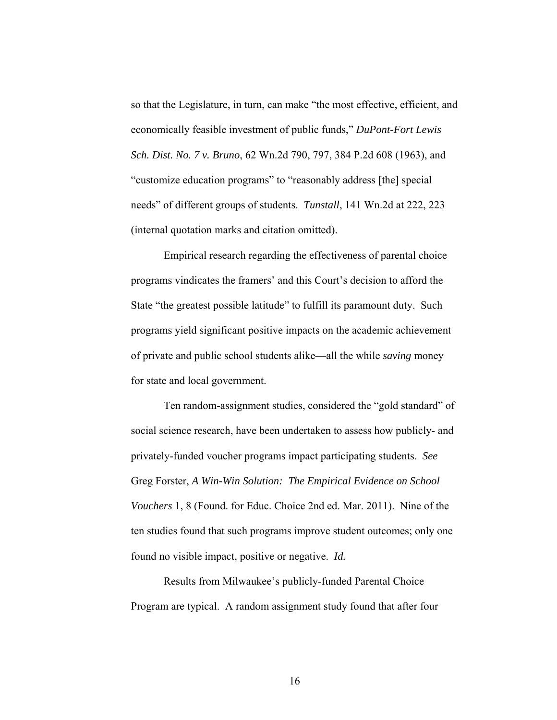so that the Legislature, in turn, can make "the most effective, efficient, and economically feasible investment of public funds," *DuPont-Fort Lewis Sch. Dist. No. 7 v. Bruno*, 62 Wn.2d 790, 797, 384 P.2d 608 (1963), and "customize education programs" to "reasonably address [the] special needs" of different groups of students. *Tunstall*, 141 Wn.2d at 222, 223 (internal quotation marks and citation omitted).

Empirical research regarding the effectiveness of parental choice programs vindicates the framers' and this Court's decision to afford the State "the greatest possible latitude" to fulfill its paramount duty. Such programs yield significant positive impacts on the academic achievement of private and public school students alike—all the while *saving* money for state and local government.

Ten random-assignment studies, considered the "gold standard" of social science research, have been undertaken to assess how publicly- and privately-funded voucher programs impact participating students. *See* Greg Forster, *A Win-Win Solution: The Empirical Evidence on School Vouchers* 1, 8 (Found. for Educ. Choice 2nd ed. Mar. 2011). Nine of the ten studies found that such programs improve student outcomes; only one found no visible impact, positive or negative. *Id.*

Results from Milwaukee's publicly-funded Parental Choice Program are typical. A random assignment study found that after four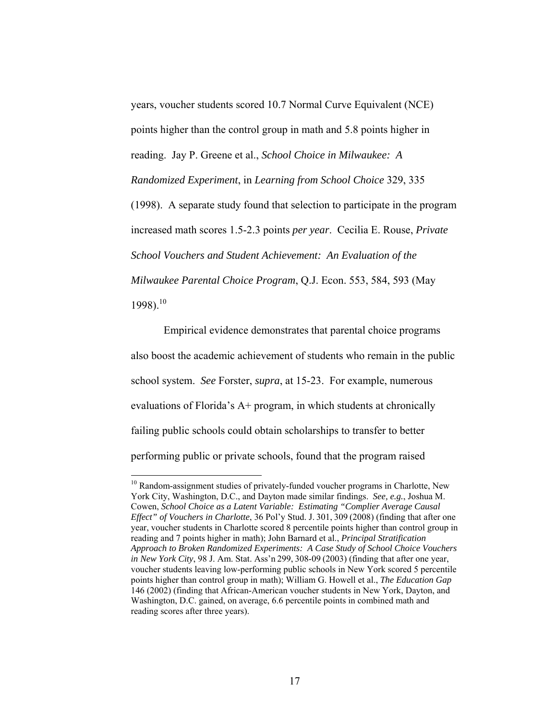years, voucher students scored 10.7 Normal Curve Equivalent (NCE) points higher than the control group in math and 5.8 points higher in reading. Jay P. Greene et al., *School Choice in Milwaukee: A Randomized Experiment*, in *Learning from School Choice* 329, 335 (1998). A separate study found that selection to participate in the program increased math scores 1.5-2.3 points *per year*. Cecilia E. Rouse, *Private School Vouchers and Student Achievement: An Evaluation of the Milwaukee Parental Choice Program*, Q.J. Econ. 553, 584, 593 (May  $1998$ ).<sup>[10](#page-23-0)</sup>

Empirical evidence demonstrates that parental choice programs also boost the academic achievement of students who remain in the public school system. *See* Forster, *supra*, at 15-23. For example, numerous evaluations of Florida's A+ program, in which students at chronically failing public schools could obtain scholarships to transfer to better performing public or private schools, found that the program raised

<span id="page-23-0"></span><sup>&</sup>lt;sup>10</sup> Random-assignment studies of privately-funded voucher programs in Charlotte, New York City, Washington, D.C., and Dayton made similar findings. *See, e.g.*, Joshua M. Cowen, *School Choice as a Latent Variable: Estimating "Complier Average Causal Effect" of Vouchers in Charlotte*, 36 Pol'y Stud. J. 301, 309 (2008) (finding that after one year, voucher students in Charlotte scored 8 percentile points higher than control group in reading and 7 points higher in math); John Barnard et al., *Principal Stratification Approach to Broken Randomized Experiments: A Case Study of School Choice Vouchers in New York City*, 98 J. Am. Stat. Ass'n 299, 308-09 (2003) (finding that after one year, voucher students leaving low-performing public schools in New York scored 5 percentile points higher than control group in math); William G. Howell et al., *The Education Gap* 146 (2002) (finding that African-American voucher students in New York, Dayton, and Washington, D.C. gained, on average, 6.6 percentile points in combined math and reading scores after three years).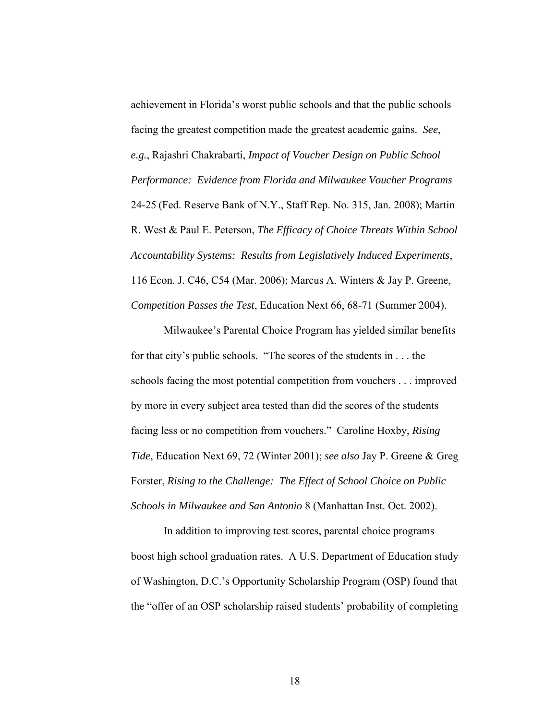achievement in Florida's worst public schools and that the public schools facing the greatest competition made the greatest academic gains. *See*, *e.g.*, Rajashri Chakrabarti, *Impact of Voucher Design on Public School Performance: Evidence from Florida and Milwaukee Voucher Programs*  24-25 (Fed. Reserve Bank of N.Y., Staff Rep. No. 315, Jan. 2008); Martin R. West & Paul E. Peterson, *The Efficacy of Choice Threats Within School Accountability Systems: Results from Legislatively Induced Experiments*, 116 Econ. J. C46, C54 (Mar. 2006); Marcus A. Winters & Jay P. Greene, *Competition Passes the Test*, Education Next 66, 68-71 (Summer 2004).

Milwaukee's Parental Choice Program has yielded similar benefits for that city's public schools. "The scores of the students in . . . the schools facing the most potential competition from vouchers . . . improved by more in every subject area tested than did the scores of the students facing less or no competition from vouchers." Caroline Hoxby, *Rising Tide*, Education Next 69, 72 (Winter 2001); *see also* Jay P. Greene & Greg Forster, *Rising to the Challenge: The Effect of School Choice on Public Schools in Milwaukee and San Antonio* 8 (Manhattan Inst. Oct. 2002).

In addition to improving test scores, parental choice programs boost high school graduation rates. A U.S. Department of Education study of Washington, D.C.'s Opportunity Scholarship Program (OSP) found that the "offer of an OSP scholarship raised students' probability of completing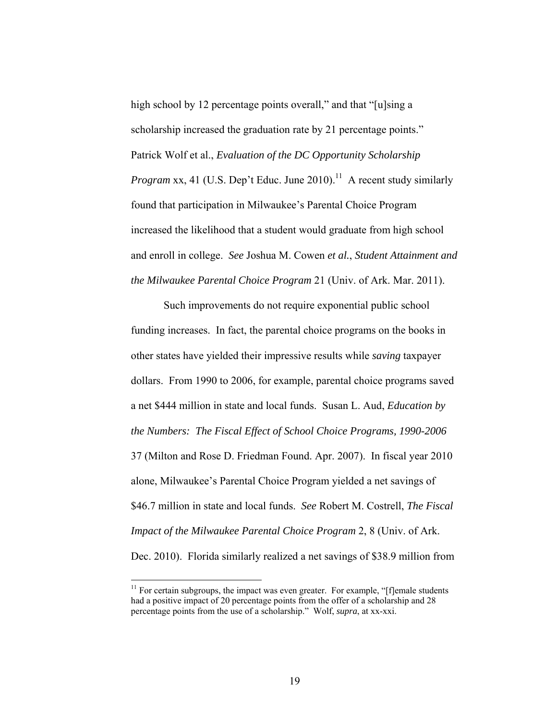high school by 12 percentage points overall," and that "[u]sing a scholarship increased the graduation rate by 21 percentage points." Patrick Wolf et al., *Evaluation of the DC Opportunity Scholarship Program* xx, 41 (U.S. Dep't Educ. June 2010).<sup>11</sup> A recent study similarly found that participation in Milwaukee's Parental Choice Program increased the likelihood that a student would graduate from high school and enroll in college. *See* Joshua M. Cowen *et al.*, *Student Attainment and the Milwaukee Parental Choice Program* 21 (Univ. of Ark. Mar. 2011).

Such improvements do not require exponential public school funding increases. In fact, the parental choice programs on the books in other states have yielded their impressive results while *saving* taxpayer dollars. From 1990 to 2006, for example, parental choice programs saved a net \$444 million in state and local funds. Susan L. Aud, *Education by the Numbers: The Fiscal Effect of School Choice Programs, 1990-2006* 37 (Milton and Rose D. Friedman Found. Apr. 2007). In fiscal year 2010 alone, Milwaukee's Parental Choice Program yielded a net savings of \$46.7 million in state and local funds. *See* Robert M. Costrell, *The Fiscal Impact of the Milwaukee Parental Choice Program* 2, 8 (Univ. of Ark. Dec. 2010). Florida similarly realized a net savings of \$38.9 million from

<span id="page-25-0"></span> $11$  For certain subgroups, the impact was even greater. For example, "[f]emale students had a positive impact of 20 percentage points from the offer of a scholarship and 28 percentage points from the use of a scholarship." Wolf, *supra*, at xx-xxi.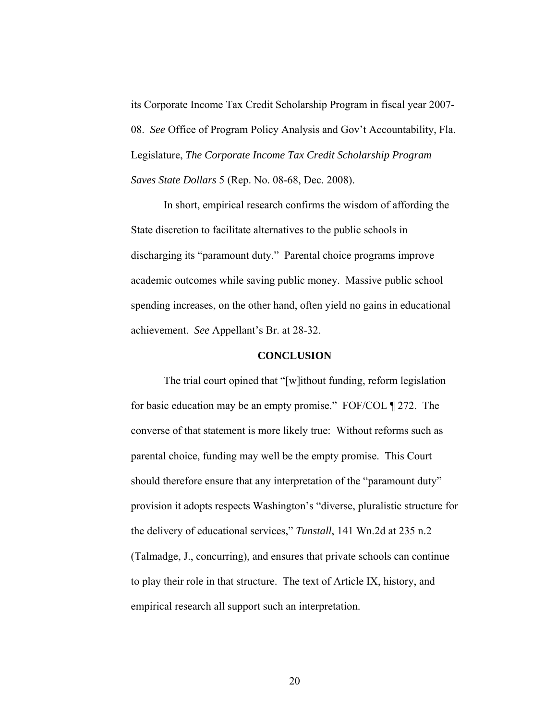<span id="page-26-0"></span>its Corporate Income Tax Credit Scholarship Program in fiscal year 2007- 08. *See* Office of Program Policy Analysis and Gov't Accountability, Fla. Legislature, *The Corporate Income Tax Credit Scholarship Program Saves State Dollars* 5 (Rep. No. 08-68, Dec. 2008).

In short, empirical research confirms the wisdom of affording the State discretion to facilitate alternatives to the public schools in discharging its "paramount duty." Parental choice programs improve academic outcomes while saving public money. Massive public school spending increases, on the other hand, often yield no gains in educational achievement. *See* Appellant's Br. at 28-32.

#### **CONCLUSION**

The trial court opined that "[w]ithout funding, reform legislation for basic education may be an empty promise." FOF/COL ¶ 272. The converse of that statement is more likely true: Without reforms such as parental choice, funding may well be the empty promise. This Court should therefore ensure that any interpretation of the "paramount duty" provision it adopts respects Washington's "diverse, pluralistic structure for the delivery of educational services," *Tunstall*, 141 Wn.2d at 235 n.2 (Talmadge, J., concurring), and ensures that private schools can continue to play their role in that structure. The text of Article IX, history, and empirical research all support such an interpretation.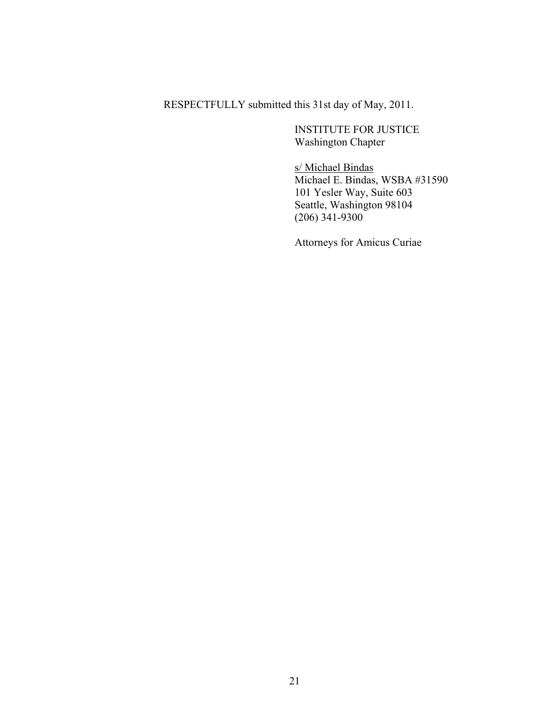RESPECTFULLY submitted this 31st day of May, 2011.

INSTITUTE FOR JUSTICE Washington Chapter

s/ Michael Bindas Michael E. Bindas, WSBA #31590 101 Yesler Way, Suite 603 Seattle, Washington 98104 (206) 341-9300

Attorneys for Amicus Curiae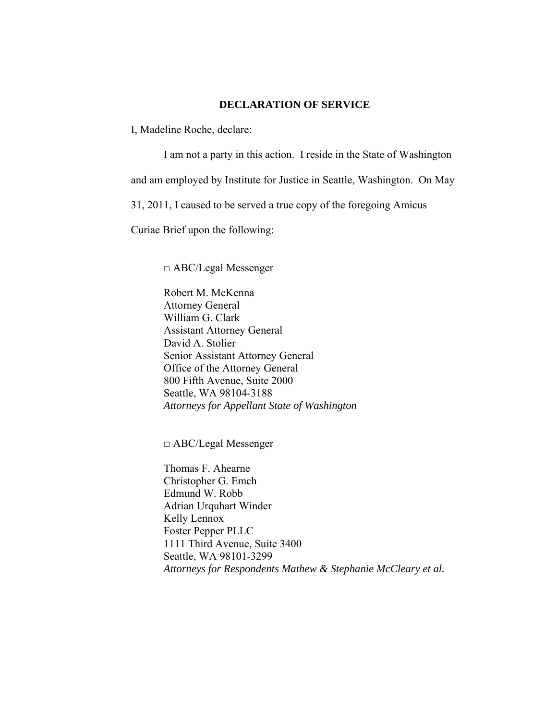### **DECLARATION OF SERVICE**

I, Madeline Roche, declare:

I am not a party in this action. I reside in the State of Washington and am employed by Institute for Justice in Seattle, Washington. On May 31, 2011, I caused to be served a true copy of the foregoing Amicus Curiae Brief upon the following:

□ ABC/Legal Messenger

Robert M. McKenna Attorney General William G. Clark Assistant Attorney General David A. Stolier Senior Assistant Attorney General Office of the Attorney General 800 Fifth Avenue, Suite 2000 Seattle, WA 98104-3188 *Attorneys for Appellant State of Washington* 

□ ABC/Legal Messenger

Thomas F. Ahearne Christopher G. Emch Edmund W. Robb Adrian Urquhart Winder Kelly Lennox Foster Pepper PLLC 1111 Third Avenue, Suite 3400 Seattle, WA 98101-3299 *Attorneys for Respondents Mathew & Stephanie McCleary et al.*